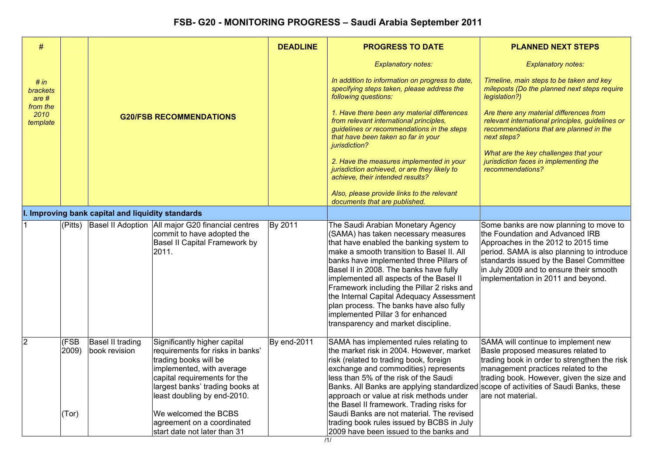| $\#$                                        |              |                                                   |                                                                                                                                                                                                                          | <b>DEADLINE</b> | <b>PROGRESS TO DATE</b>                                                                                                                                                                                                                                                                                                                                                                                                                                                                                           | <b>PLANNED NEXT STEPS</b>                                                                                                                                                                                                                                                                  |
|---------------------------------------------|--------------|---------------------------------------------------|--------------------------------------------------------------------------------------------------------------------------------------------------------------------------------------------------------------------------|-----------------|-------------------------------------------------------------------------------------------------------------------------------------------------------------------------------------------------------------------------------------------------------------------------------------------------------------------------------------------------------------------------------------------------------------------------------------------------------------------------------------------------------------------|--------------------------------------------------------------------------------------------------------------------------------------------------------------------------------------------------------------------------------------------------------------------------------------------|
|                                             |              |                                                   |                                                                                                                                                                                                                          |                 | <b>Explanatory notes:</b>                                                                                                                                                                                                                                                                                                                                                                                                                                                                                         | <b>Explanatory notes:</b>                                                                                                                                                                                                                                                                  |
| # in<br><b>brackets</b><br>are <sub>#</sub> |              |                                                   |                                                                                                                                                                                                                          |                 | In addition to information on progress to date,<br>specifying steps taken, please address the<br>following questions:                                                                                                                                                                                                                                                                                                                                                                                             | Timeline, main steps to be taken and key<br>mileposts (Do the planned next steps require<br>legislation?)                                                                                                                                                                                  |
| from the<br>2010<br>template                |              |                                                   | <b>G20/FSB RECOMMENDATIONS</b>                                                                                                                                                                                           |                 | 1. Have there been any material differences<br>from relevant international principles,<br>guidelines or recommendations in the steps<br>that have been taken so far in your<br>jurisdiction?                                                                                                                                                                                                                                                                                                                      | Are there any material differences from<br>relevant international principles, guidelines or<br>recommendations that are planned in the<br>next steps?                                                                                                                                      |
|                                             |              |                                                   |                                                                                                                                                                                                                          |                 | 2. Have the measures implemented in your<br>jurisdiction achieved, or are they likely to<br>achieve, their intended results?                                                                                                                                                                                                                                                                                                                                                                                      | What are the key challenges that your<br>jurisdiction faces in implementing the<br>recommendations?                                                                                                                                                                                        |
|                                             |              |                                                   |                                                                                                                                                                                                                          |                 | Also, please provide links to the relevant<br>documents that are published.                                                                                                                                                                                                                                                                                                                                                                                                                                       |                                                                                                                                                                                                                                                                                            |
|                                             |              | I. Improving bank capital and liquidity standards |                                                                                                                                                                                                                          |                 |                                                                                                                                                                                                                                                                                                                                                                                                                                                                                                                   |                                                                                                                                                                                                                                                                                            |
| $\mathbf{1}$                                | (Pitts)      |                                                   | Basel II Adoption   All major G20 financial centres<br>commit to have adopted the<br>Basel II Capital Framework by<br>2011.                                                                                              | By 2011         | The Saudi Arabian Monetary Agency<br>(SAMA) has taken necessary measures<br>that have enabled the banking system to<br>make a smooth transition to Basel II. All<br>banks have implemented three Pillars of<br>Basel II in 2008. The banks have fully<br>implemented all aspects of the Basel II<br>Framework including the Pillar 2 risks and<br>the Internal Capital Adequacy Assessment<br>plan process. The banks have also fully<br>implemented Pillar 3 for enhanced<br>transparency and market discipline. | Some banks are now planning to move to<br>the Foundation and Advanced IRB<br>Approaches in the 2012 to 2015 time<br>period. SAMA is also planning to introduce<br>standards issued by the Basel Committee<br>in July 2009 and to ensure their smooth<br>implementation in 2011 and beyond. |
| $\overline{2}$                              | (FSB<br>2009 | Basel II trading<br>book revision                 | Significantly higher capital<br>requirements for risks in banks'<br>trading books will be<br>implemented, with average<br>capital requirements for the<br>largest banks' trading books at<br>least doubling by end-2010. | By end-2011     | SAMA has implemented rules relating to<br>the market risk in 2004. However, market<br>risk (related to trading book, foreign<br>exchange and commodities) represents<br>less than 5% of the risk of the Saudi<br>Banks. All Banks are applying standardized scope of activities of Saudi Banks, these<br>approach or value at risk methods under<br>the Basel II framework. Trading risks for                                                                                                                     | SAMA will continue to implement new<br>Basle proposed measures related to<br>trading book in order to strengthen the risk<br>management practices related to the<br>trading book. However, given the size and<br>are not material.                                                         |
|                                             | (Tor)        |                                                   | We welcomed the BCBS<br>agreement on a coordinated<br>start date not later than 31                                                                                                                                       |                 | Saudi Banks are not material. The revised<br>trading book rules issued by BCBS in July<br>2009 have been issued to the banks and                                                                                                                                                                                                                                                                                                                                                                                  |                                                                                                                                                                                                                                                                                            |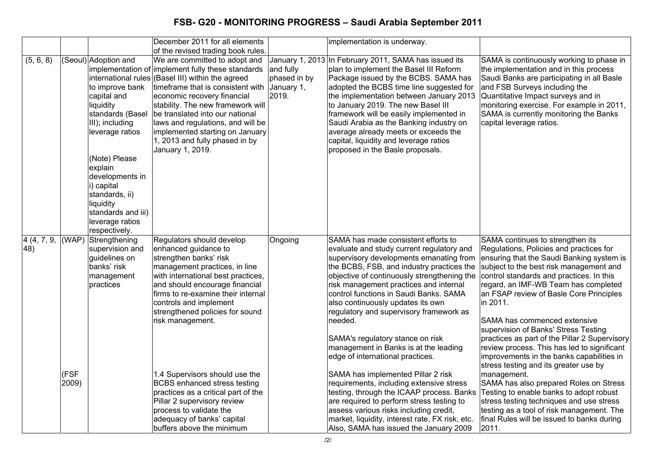|                                 |               |                                                                                                                                                                                                                                                                                     | December 2011 for all elements                                                                                                                                                                                                                                                                                                                                                                                                                                                                                                                   |                                                  | implementation is underway.                                                                                                                                                                                                                                                                                                                                                                                                                                                                                                                                                                                                                                                                                                                                                                                                                |                                                                                                                                                                                                                                                                                                                                                                                                                                                                                                                                                                                                                                                                                                                                                                                                                                  |
|---------------------------------|---------------|-------------------------------------------------------------------------------------------------------------------------------------------------------------------------------------------------------------------------------------------------------------------------------------|--------------------------------------------------------------------------------------------------------------------------------------------------------------------------------------------------------------------------------------------------------------------------------------------------------------------------------------------------------------------------------------------------------------------------------------------------------------------------------------------------------------------------------------------------|--------------------------------------------------|--------------------------------------------------------------------------------------------------------------------------------------------------------------------------------------------------------------------------------------------------------------------------------------------------------------------------------------------------------------------------------------------------------------------------------------------------------------------------------------------------------------------------------------------------------------------------------------------------------------------------------------------------------------------------------------------------------------------------------------------------------------------------------------------------------------------------------------------|----------------------------------------------------------------------------------------------------------------------------------------------------------------------------------------------------------------------------------------------------------------------------------------------------------------------------------------------------------------------------------------------------------------------------------------------------------------------------------------------------------------------------------------------------------------------------------------------------------------------------------------------------------------------------------------------------------------------------------------------------------------------------------------------------------------------------------|
|                                 |               |                                                                                                                                                                                                                                                                                     | of the revised trading book rules.                                                                                                                                                                                                                                                                                                                                                                                                                                                                                                               |                                                  |                                                                                                                                                                                                                                                                                                                                                                                                                                                                                                                                                                                                                                                                                                                                                                                                                                            |                                                                                                                                                                                                                                                                                                                                                                                                                                                                                                                                                                                                                                                                                                                                                                                                                                  |
| (5, 6, 8)                       |               | (Seoul) Adoption and<br>to improve bank<br>capital and<br>liquidity<br>standards (Basel<br>III); including<br>leverage ratios<br>(Note) Please<br>explain<br>developments in<br>i) capital<br>standards, ii)<br>liquidity<br>standards and iii)<br>leverage ratios<br>respectively. | We are committed to adopt and<br>implementation of implement fully these standards<br>international rules (Basel III) within the agreed<br>timeframe that is consistent with<br>economic recovery financial<br>stability. The new framework will<br>be translated into our national<br>laws and regulations, and will be<br>implemented starting on January<br>1, 2013 and fully phased in by<br>January 1, 2019.                                                                                                                                | and fully<br>phased in by<br>January 1,<br>2019. | January 1, 2013 In February 2011, SAMA has issued its<br>plan to implement the Basel III Reform<br>Package issued by the BCBS. SAMA has<br>adopted the BCBS time line suggested for<br>the implementation between January 2013<br>to January 2019. The new Basel III<br>framework will be easily implemented in<br>Saudi Arabia as the Banking industry on<br>average already meets or exceeds the<br>capital, liquidity and leverage ratios<br>proposed in the Basle proposals.                                                                                                                                                                                                                                                                                                                                                           | SAMA is continuously working to phase in<br>the implementation and in this process<br>Saudi Banks are participating in all Basle<br>and FSB Surveys including the<br>Quantitative Impact surveys and in<br>monitoring exercise. For example in 2011,<br>SAMA is currently monitoring the Banks<br>capital leverage ratios.                                                                                                                                                                                                                                                                                                                                                                                                                                                                                                       |
| $\overline{4}$ (4, 7, 9,<br>48) | (FSF<br>2009) | (WAP) Strengthening<br>supervision and<br>guidelines on<br>banks' risk<br>management<br>practices                                                                                                                                                                                   | Regulators should develop<br>enhanced guidance to<br>strengthen banks' risk<br>management practices, in line<br>with international best practices,<br>and should encourage financial<br>firms to re-examine their internal<br>controls and implement<br>strengthened policies for sound<br>risk management.<br>1.4 Supervisors should use the<br><b>BCBS</b> enhanced stress testing<br>practices as a critical part of the<br>Pillar 2 supervisory review<br>process to validate the<br>adequacy of banks' capital<br>buffers above the minimum | Ongoing                                          | SAMA has made consistent efforts to<br>evaluate and study current regulatory and<br>supervisory developments emanating from<br>the BCBS, FSB, and industry practices the<br>objective of continuously strengthening the<br>risk management practices and internal<br>control functions in Saudi Banks. SAMA<br>also continuously updates its own<br>regulatory and supervisory framework as<br>needed.<br>SAMA's regulatory stance on risk<br>management in Banks is at the leading<br>edge of international practices.<br>SAMA has implemented Pillar 2 risk<br>requirements, including extensive stress<br>testing, through the ICAAP process. Banks<br>are required to perform stress testing to<br>assess various risks including credit,<br>market, liquidity, interest rate, FX risk, etc.<br>Also, SAMA has issued the January 2009 | SAMA continues to strengthen its<br>Regulations, Policies and practices for<br>ensuring that the Saudi Banking system is<br>subject to the best risk management and<br>control standards and practices. In this<br>regard, an IMF-WB Team has completed<br>an FSAP review of Basle Core Principles<br>in 2011.<br>SAMA has commenced extensive<br>supervision of Banks' Stress Testing<br>practices as part of the Pillar 2 Supervisory<br>review process. This has led to significant<br>improvements in the banks capabilities in<br>stress testing and its greater use by<br>management.<br>SAMA has also prepared Roles on Stress<br>Testing to enable banks to adopt robust<br>stress testing techniques and use stress<br>testing as a tool of risk management. The<br>final Rules will be issued to banks during<br>2011. |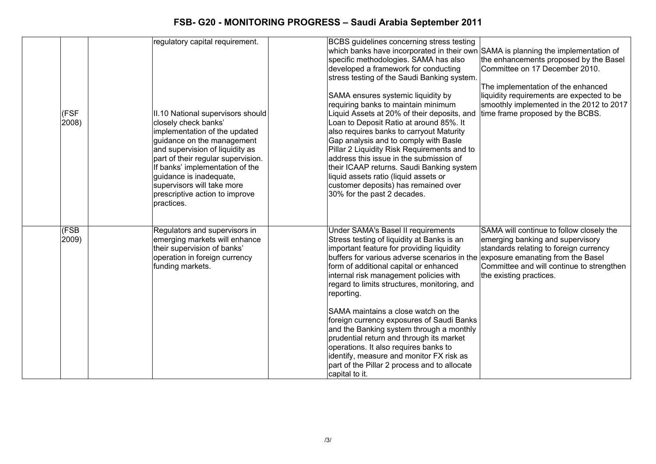| (FSF<br>2008) | regulatory capital requirement.<br>II.10 National supervisors should<br>closely check banks'<br>implementation of the updated<br>guidance on the management<br>and supervision of liquidity as<br>part of their regular supervision.<br>If banks' implementation of the<br>guidance is inadequate,<br>supervisors will take more<br>prescriptive action to improve<br>practices. | BCBS guidelines concerning stress testing<br>which banks have incorporated in their own SAMA is planning the implementation of<br>specific methodologies. SAMA has also<br>the enhancements proposed by the Basel<br>developed a framework for conducting<br>Committee on 17 December 2010.<br>stress testing of the Saudi Banking system.<br>The implementation of the enhanced<br>liquidity requirements are expected to be<br>SAMA ensures systemic liquidity by<br>requiring banks to maintain minimum<br>smoothly implemented in the 2012 to 2017<br>Liquid Assets at 20% of their deposits, and<br>time frame proposed by the BCBS.<br>Loan to Deposit Ratio at around 85%. It<br>also requires banks to carryout Maturity<br>Gap analysis and to comply with Basle<br>Pillar 2 Liquidity Risk Requirements and to<br>address this issue in the submission of<br>their ICAAP returns. Saudi Banking system<br>liquid assets ratio (liquid assets or<br>customer deposits) has remained over<br>30% for the past 2 decades. |  |
|---------------|----------------------------------------------------------------------------------------------------------------------------------------------------------------------------------------------------------------------------------------------------------------------------------------------------------------------------------------------------------------------------------|----------------------------------------------------------------------------------------------------------------------------------------------------------------------------------------------------------------------------------------------------------------------------------------------------------------------------------------------------------------------------------------------------------------------------------------------------------------------------------------------------------------------------------------------------------------------------------------------------------------------------------------------------------------------------------------------------------------------------------------------------------------------------------------------------------------------------------------------------------------------------------------------------------------------------------------------------------------------------------------------------------------------------------|--|
| (FSB<br>2009) | Regulators and supervisors in<br>emerging markets will enhance<br>their supervision of banks'<br>operation in foreign currency<br>funding markets.                                                                                                                                                                                                                               | Under SAMA's Basel II requirements<br>SAMA will continue to follow closely the<br>Stress testing of liquidity at Banks is an<br>emerging banking and supervisory<br>important feature for providing liquidity<br>standards relating to foreign currency<br>buffers for various adverse scenarios in the exposure emanating from the Basel<br>form of additional capital or enhanced<br>Committee and will continue to strengthen<br>internal risk management policies with<br>the existing practices.<br>regard to limits structures, monitoring, and<br>reporting.<br>SAMA maintains a close watch on the<br>foreign currency exposures of Saudi Banks<br>and the Banking system through a monthly<br>prudential return and through its market<br>operations. It also requires banks to<br>identify, measure and monitor FX risk as<br>part of the Pillar 2 process and to allocate<br>capital to it.                                                                                                                           |  |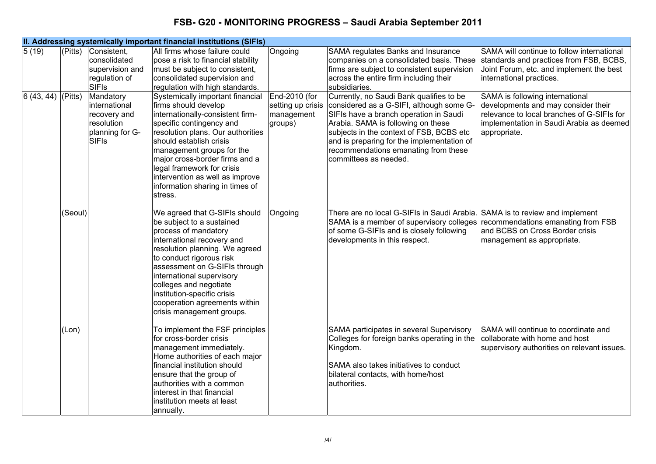|                                  |                         |                                                                                                                               | II. Addressing systemically important financial institutions (SIFIs)                                                                                                                                                                                                                                                                                                |                                                             |                                                                                                                                                                                                                                                                                                                            |                                                                                                                                                                                                                                                                                       |
|----------------------------------|-------------------------|-------------------------------------------------------------------------------------------------------------------------------|---------------------------------------------------------------------------------------------------------------------------------------------------------------------------------------------------------------------------------------------------------------------------------------------------------------------------------------------------------------------|-------------------------------------------------------------|----------------------------------------------------------------------------------------------------------------------------------------------------------------------------------------------------------------------------------------------------------------------------------------------------------------------------|---------------------------------------------------------------------------------------------------------------------------------------------------------------------------------------------------------------------------------------------------------------------------------------|
| 5(19)<br>$ 6 (43, 44)  $ (Pitts) | $\sqrt{\text{(Pitts)}}$ | Consistent,<br>consolidated<br>supervision and<br>regulation of<br><b>SIFIs</b><br>Mandatory<br>international<br>recovery and | All firms whose failure could<br>pose a risk to financial stability<br>must be subject to consistent,<br>consolidated supervision and<br>regulation with high standards.<br>Systemically important financial<br>firms should develop<br>internationally-consistent firm-                                                                                            | Ongoing<br>End-2010 (for<br>setting up crisis<br>management | SAMA regulates Banks and Insurance<br>companies on a consolidated basis. These<br>firms are subject to consistent supervision<br>across the entire firm including their<br>subsidiaries.<br>Currently, no Saudi Bank qualifies to be<br>considered as a G-SIFI, although some G-<br>SIFIs have a branch operation in Saudi | SAMA will continue to follow international<br>standards and practices from FSB, BCBS,<br>Joint Forum, etc. and implement the best<br>international practices.<br>SAMA is following international<br>developments and may consider their<br>relevance to local branches of G-SIFIs for |
|                                  |                         | resolution<br>planning for G-<br><b>SIFIs</b>                                                                                 | specific contingency and<br>resolution plans. Our authorities<br>should establish crisis<br>management groups for the<br>major cross-border firms and a<br>legal framework for crisis<br>intervention as well as improve<br>information sharing in times of<br>stress.                                                                                              | groups)                                                     | Arabia. SAMA is following on these<br>subjects in the context of FSB, BCBS etc<br>and is preparing for the implementation of<br>recommendations emanating from these<br>committees as needed.                                                                                                                              | implementation in Saudi Arabia as deemed<br>appropriate.                                                                                                                                                                                                                              |
|                                  | (Seoul)                 |                                                                                                                               | We agreed that G-SIFIs should<br>be subject to a sustained<br>process of mandatory<br>international recovery and<br>resolution planning. We agreed<br>to conduct rigorous risk<br>assessment on G-SIFIs through<br>international supervisory<br>colleges and negotiate<br>institution-specific crisis<br>cooperation agreements within<br>crisis management groups. | Ongoing                                                     | There are no local G-SIFIs in Saudi Arabia.<br>SAMA is a member of supervisory colleges<br>of some G-SIFIs and is closely following<br>developments in this respect.                                                                                                                                                       | SAMA is to review and implement<br>recommendations emanating from FSB<br>and BCBS on Cross Border crisis<br>management as appropriate.                                                                                                                                                |
|                                  | (Lon)                   |                                                                                                                               | To implement the FSF principles<br>for cross-border crisis<br>management immediately.<br>Home authorities of each major<br>financial institution should<br>ensure that the group of<br>authorities with a common<br>interest in that financial<br>institution meets at least<br>annually.                                                                           |                                                             | SAMA participates in several Supervisory<br>Colleges for foreign banks operating in the<br>Kingdom.<br>SAMA also takes initiatives to conduct<br>bilateral contacts, with home/host<br>authorities.                                                                                                                        | SAMA will continue to coordinate and<br>collaborate with home and host<br>supervisory authorities on relevant issues.                                                                                                                                                                 |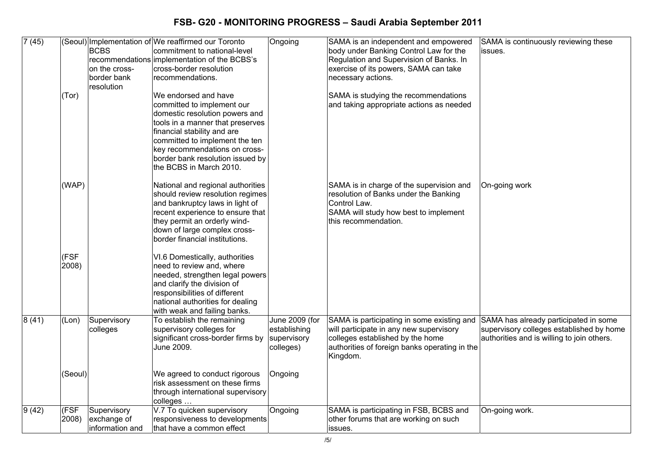| 7(45)          |                | <b>BCBS</b>                                   | (Seoul) Implementation of We reaffirmed our Toronto<br>commitment to national-level                                                                                                                                                                                                       | Ongoing                                                    | SAMA is an independent and empowered<br>body under Banking Control Law for the                                                                                                                                               | SAMA is continuously reviewing these<br>issues.                                        |
|----------------|----------------|-----------------------------------------------|-------------------------------------------------------------------------------------------------------------------------------------------------------------------------------------------------------------------------------------------------------------------------------------------|------------------------------------------------------------|------------------------------------------------------------------------------------------------------------------------------------------------------------------------------------------------------------------------------|----------------------------------------------------------------------------------------|
|                |                | on the cross-<br>border bank<br>resolution    | recommendations implementation of the BCBS's<br>cross-border resolution<br>recommendations.                                                                                                                                                                                               |                                                            | Regulation and Supervision of Banks. In<br>exercise of its powers, SAMA can take<br>necessary actions.                                                                                                                       |                                                                                        |
|                | (Tor)          |                                               | We endorsed and have<br>committed to implement our<br>domestic resolution powers and<br>tools in a manner that preserves<br>financial stability and are<br>committed to implement the ten<br>key recommendations on cross-<br>border bank resolution issued by<br>the BCBS in March 2010. |                                                            | SAMA is studying the recommendations<br>and taking appropriate actions as needed                                                                                                                                             |                                                                                        |
|                | (WAP)          |                                               | National and regional authorities<br>should review resolution regimes<br>and bankruptcy laws in light of<br>recent experience to ensure that<br>they permit an orderly wind-<br>down of large complex cross-<br>border financial institutions.                                            |                                                            | SAMA is in charge of the supervision and<br>resolution of Banks under the Banking<br>Control Law.<br>SAMA will study how best to implement<br>this recommendation.                                                           | On-going work                                                                          |
|                | (FSF<br>2008)  |                                               | VI.6 Domestically, authorities<br>need to review and, where<br>needed, strengthen legal powers<br>and clarify the division of<br>responsibilities of different<br>national authorities for dealing<br>with weak and failing banks.                                                        |                                                            |                                                                                                                                                                                                                              |                                                                                        |
| 8(41)          | (Lon)          | Supervisory<br>colleges                       | To establish the remaining<br>supervisory colleges for<br>significant cross-border firms by<br>June 2009.                                                                                                                                                                                 | June 2009 (for<br>establishing<br>supervisory<br>colleges) | SAMA is participating in some existing and SAMA has already participated in some<br>will participate in any new supervisory<br>colleges established by the home<br>authorities of foreign banks operating in the<br>Kingdom. | supervisory colleges established by home<br>authorities and is willing to join others. |
|                | (Seoul)        |                                               | We agreed to conduct rigorous<br>risk assessment on these firms<br>through international supervisory<br>colleges                                                                                                                                                                          | Ongoing                                                    |                                                                                                                                                                                                                              |                                                                                        |
| $\sqrt{9(42)}$ | (FSF)<br>2008) | Supervisory<br>exchange of<br>information and | V.7 To quicken supervisory<br>responsiveness to developments<br>that have a common effect                                                                                                                                                                                                 | Ongoing                                                    | SAMA is participating in FSB, BCBS and<br>other forums that are working on such<br>issues.                                                                                                                                   | On-going work.                                                                         |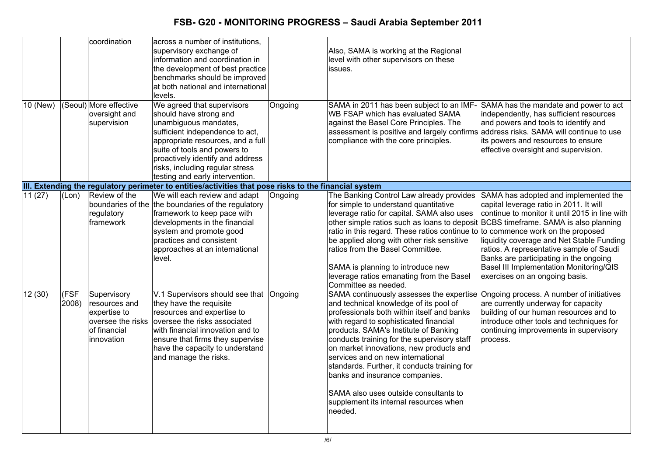|          |               | coordination                                                                                    | across a number of institutions,<br>supervisory exchange of                                                                                                                                                                                                                                     |         | Also, SAMA is working at the Regional                                                                                                                                                                                                                                                                                                                                                                                                                                                                                              |                                                                                                                                                                                                                                                                                                                                                   |
|----------|---------------|-------------------------------------------------------------------------------------------------|-------------------------------------------------------------------------------------------------------------------------------------------------------------------------------------------------------------------------------------------------------------------------------------------------|---------|------------------------------------------------------------------------------------------------------------------------------------------------------------------------------------------------------------------------------------------------------------------------------------------------------------------------------------------------------------------------------------------------------------------------------------------------------------------------------------------------------------------------------------|---------------------------------------------------------------------------------------------------------------------------------------------------------------------------------------------------------------------------------------------------------------------------------------------------------------------------------------------------|
|          |               |                                                                                                 | information and coordination in<br>the development of best practice<br>benchmarks should be improved                                                                                                                                                                                            |         | level with other supervisors on these<br>issues.                                                                                                                                                                                                                                                                                                                                                                                                                                                                                   |                                                                                                                                                                                                                                                                                                                                                   |
|          |               |                                                                                                 | at both national and international<br>levels.                                                                                                                                                                                                                                                   |         |                                                                                                                                                                                                                                                                                                                                                                                                                                                                                                                                    |                                                                                                                                                                                                                                                                                                                                                   |
| 10 (New) |               | (Seoul) More effective<br>oversight and<br>supervision                                          | We agreed that supervisors<br>should have strong and<br>unambiguous mandates,<br>sufficient independence to act,<br>appropriate resources, and a full<br>suite of tools and powers to<br>proactively identify and address<br>risks, including regular stress<br>testing and early intervention. | Ongoing | SAMA in 2011 has been subject to an IMF-<br>WB FSAP which has evaluated SAMA<br>against the Basel Core Principles. The<br>assessment is positive and largely confirms address risks. SAMA will continue to use<br>compliance with the core principles.                                                                                                                                                                                                                                                                             | SAMA has the mandate and power to act<br>independently, has sufficient resources<br>and powers and tools to identify and<br>its powers and resources to ensure<br>effective oversight and supervision.                                                                                                                                            |
|          |               |                                                                                                 | III. Extending the regulatory perimeter to entities/activities that pose risks to the financial system                                                                                                                                                                                          |         |                                                                                                                                                                                                                                                                                                                                                                                                                                                                                                                                    |                                                                                                                                                                                                                                                                                                                                                   |
| 11(27)   | (Lon)         | Review of the<br>regulatory<br><b>framework</b>                                                 | We will each review and adapt<br>boundaries of the the boundaries of the regulatory<br>framework to keep pace with<br>developments in the financial<br>system and promote good<br>practices and consistent<br>approaches at an international<br>level.                                          | Ongoing | The Banking Control Law already provides<br>for simple to understand quantitative<br>leverage ratio for capital. SAMA also uses<br>other simple ratios such as loans to deposit BCBS timeframe. SAMA is also planning<br>ratio in this regard. These ratios continue to to commence work on the proposed<br>be applied along with other risk sensitive<br>ratios from the Basel Committee.<br>SAMA is planning to introduce new<br>leverage ratios emanating from the Basel<br>Committee as needed.                                | SAMA has adopted and implemented the<br>capital leverage ratio in 2011. It will<br>continue to monitor it until 2015 in line with<br>liquidity coverage and Net Stable Funding<br>ratios. A representative sample of Saudi<br>Banks are participating in the ongoing<br>Basel III Implementation Monitoring/QIS<br>exercises on an ongoing basis. |
| 12(30)   | (FSF<br>2008) | Supervisory<br>resources and<br>expertise to<br>oversee the risks<br>of financial<br>innovation | V.1 Supervisors should see that Ongoing<br>they have the requisite<br>resources and expertise to<br>oversee the risks associated<br>with financial innovation and to<br>ensure that firms they supervise<br>have the capacity to understand<br>and manage the risks.                            |         | SAMA continuously assesses the expertise<br>and technical knowledge of its pool of<br>professionals both within itself and banks<br>with regard to sophisticated financial<br>products. SAMA's Institute of Banking<br>conducts training for the supervisory staff<br>on market innovations, new products and<br>services and on new international<br>standards. Further, it conducts training for<br>banks and insurance companies.<br>SAMA also uses outside consultants to<br>supplement its internal resources when<br>needed. | Ongoing process. A number of initiatives<br>are currently underway for capacity<br>building of our human resources and to<br>introduce other tools and techniques for<br>continuing improvements in supervisory<br>process.                                                                                                                       |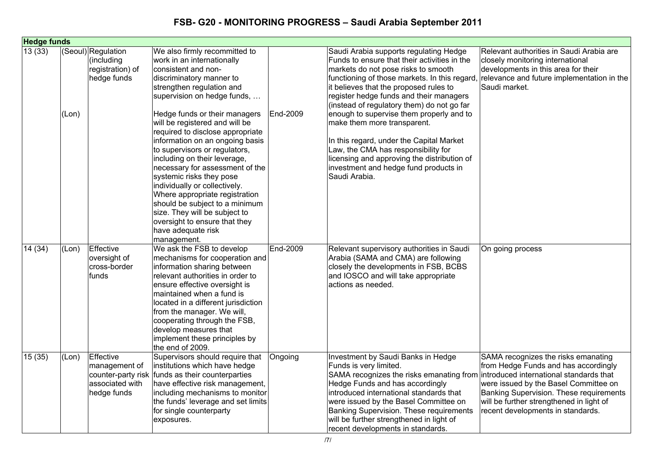| <b>Hedge funds</b> |       |                                                                     |                                                                                                                                                                                                                                                                                                                                                                                                                                                                                                                                                                                                                                                                  |          |                                                                                                                                                                                                                                                                                                                                                                                                                                                                                                                                                                                         |                                                                                                                                                                                                                                                  |
|--------------------|-------|---------------------------------------------------------------------|------------------------------------------------------------------------------------------------------------------------------------------------------------------------------------------------------------------------------------------------------------------------------------------------------------------------------------------------------------------------------------------------------------------------------------------------------------------------------------------------------------------------------------------------------------------------------------------------------------------------------------------------------------------|----------|-----------------------------------------------------------------------------------------------------------------------------------------------------------------------------------------------------------------------------------------------------------------------------------------------------------------------------------------------------------------------------------------------------------------------------------------------------------------------------------------------------------------------------------------------------------------------------------------|--------------------------------------------------------------------------------------------------------------------------------------------------------------------------------------------------------------------------------------------------|
| 13(33)             | (Lon) | (Seoul) Regulation<br>(including<br>registration) of<br>hedge funds | We also firmly recommitted to<br>work in an internationally<br>consistent and non-<br>discriminatory manner to<br>strengthen regulation and<br>supervision on hedge funds,<br>Hedge funds or their managers<br>will be registered and will be<br>required to disclose appropriate<br>information on an ongoing basis<br>to supervisors or regulators,<br>including on their leverage,<br>necessary for assessment of the<br>systemic risks they pose<br>individually or collectively.<br>Where appropriate registration<br>should be subject to a minimum<br>size. They will be subject to<br>oversight to ensure that they<br>have adequate risk<br>management. | End-2009 | Saudi Arabia supports regulating Hedge<br>Funds to ensure that their activities in the<br>markets do not pose risks to smooth<br>functioning of those markets. In this regard<br>it believes that the proposed rules to<br>register hedge funds and their managers<br>(instead of regulatory them) do not go far<br>enough to supervise them properly and to<br>make them more transparent.<br>In this regard, under the Capital Market<br>Law, the CMA has responsibility for<br>licensing and approving the distribution of<br>investment and hedge fund products in<br>Saudi Arabia. | Relevant authorities in Saudi Arabia are<br>closely monitoring international<br>developments in this area for their<br>relevance and future implementation in the<br>Saudi market.                                                               |
| 14 (34)            | (Lon) | Effective<br>oversight of<br>cross-border<br>funds                  | We ask the FSB to develop<br>mechanisms for cooperation and<br>information sharing between<br>relevant authorities in order to<br>ensure effective oversight is<br>maintained when a fund is<br>located in a different jurisdiction<br>from the manager. We will,<br>cooperating through the FSB,<br>develop measures that<br>implement these principles by<br>the end of 2009.                                                                                                                                                                                                                                                                                  | End-2009 | Relevant supervisory authorities in Saudi<br>Arabia (SAMA and CMA) are following<br>closely the developments in FSB, BCBS<br>and IOSCO and will take appropriate<br>actions as needed.                                                                                                                                                                                                                                                                                                                                                                                                  | On going process                                                                                                                                                                                                                                 |
| 15(35)             | (Lon) | Effective<br>management of<br>associated with<br>hedge funds        | Supervisors should require that<br>institutions which have hedge<br>counter-party risk funds as their counterparties<br>have effective risk management,<br>including mechanisms to monitor<br>the funds' leverage and set limits<br>for single counterparty<br>exposures.                                                                                                                                                                                                                                                                                                                                                                                        | Ongoing  | Investment by Saudi Banks in Hedge<br>Funds is very limited.<br>SAMA recognizes the risks emanating from introduced international standards that<br>Hedge Funds and has accordingly<br>introduced international standards that<br>were issued by the Basel Committee on<br>Banking Supervision. These requirements<br>will be further strengthened in light of<br>recent developments in standards.                                                                                                                                                                                     | SAMA recognizes the risks emanating<br>from Hedge Funds and has accordingly<br>were issued by the Basel Committee on<br>Banking Supervision. These requirements<br>will be further strengthened in light of<br>recent developments in standards. |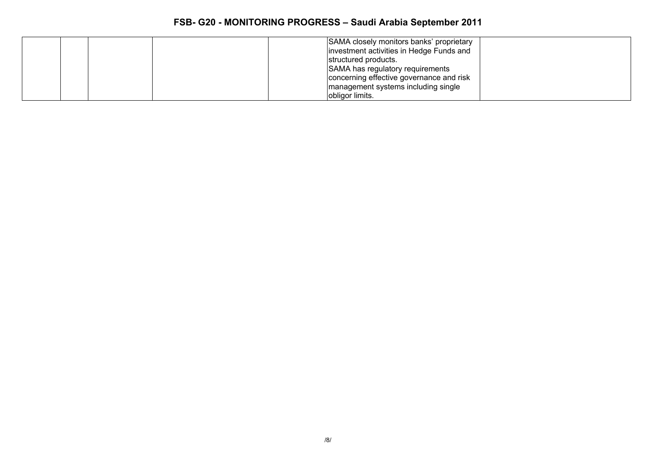|  | SAMA closely monitors banks' proprietary |  |
|--|------------------------------------------|--|
|  | investment activities in Hedge Funds and |  |
|  | structured products.                     |  |
|  | SAMA has regulatory requirements         |  |
|  | concerning effective governance and risk |  |
|  | management systems including single      |  |
|  | obligor limits.                          |  |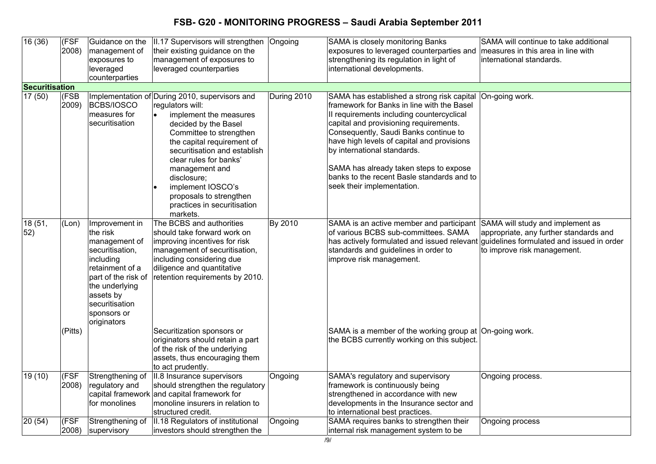| 16(36)         | (FSF<br>2008)    | Guidance on the<br>management of<br>exposures to<br>leveraged<br>counterparties                                                                                                                      | II.17 Supervisors will strengthen<br>their existing guidance on the<br>management of exposures to<br>leveraged counterparties                                                                                                                                                                                                                                       | Ongoing     | SAMA is closely monitoring Banks<br>exposures to leveraged counterparties and<br>strengthening its regulation in light of<br>international developments.                                                                                                                                                                                                                                                                    | SAMA will continue to take additional<br>measures in this area in line with<br>international standards. |
|----------------|------------------|------------------------------------------------------------------------------------------------------------------------------------------------------------------------------------------------------|---------------------------------------------------------------------------------------------------------------------------------------------------------------------------------------------------------------------------------------------------------------------------------------------------------------------------------------------------------------------|-------------|-----------------------------------------------------------------------------------------------------------------------------------------------------------------------------------------------------------------------------------------------------------------------------------------------------------------------------------------------------------------------------------------------------------------------------|---------------------------------------------------------------------------------------------------------|
| Securitisation |                  |                                                                                                                                                                                                      |                                                                                                                                                                                                                                                                                                                                                                     |             |                                                                                                                                                                                                                                                                                                                                                                                                                             |                                                                                                         |
| 17(50)         | (FSB<br>2009)    | <b>BCBS/IOSCO</b><br>measures for<br>securitisation                                                                                                                                                  | Implementation of During 2010, supervisors and<br>regulators will:<br>implement the measures<br>decided by the Basel<br>Committee to strengthen<br>the capital requirement of<br>securitisation and establish<br>clear rules for banks'<br>management and<br>disclosure;<br>implement IOSCO's<br>proposals to strengthen<br>practices in securitisation<br>markets. | During 2010 | SAMA has established a strong risk capital<br>framework for Banks in line with the Basel<br>II requirements including countercyclical<br>capital and provisioning requirements.<br>Consequently, Saudi Banks continue to<br>have high levels of capital and provisions<br>by international standards.<br>SAMA has already taken steps to expose<br>banks to the recent Basle standards and to<br>seek their implementation. | On-going work.                                                                                          |
| 18 (51,<br>52) | (Lon)<br>(Pitts) | Improvement in<br>the risk<br>management of<br>securitisation,<br>including<br>retainment of a<br>part of the risk of<br>the underlying<br>assets by<br>securitisation<br>sponsors or<br>originators | The BCBS and authorities<br>should take forward work on<br>improving incentives for risk<br>management of securitisation,<br>including considering due<br>diligence and quantitative<br>retention requirements by 2010.<br>Securitization sponsors or<br>originators should retain a part                                                                           | By 2010     | SAMA is an active member and participant SAMA will study and implement as<br>of various BCBS sub-committees. SAMA<br>has actively formulated and issued relevant guidelines formulated and issued in order<br>standards and guidelines in order to<br>improve risk management.<br>SAMA is a member of the working group at On-going work.<br>the BCBS currently working on this subject.                                    | appropriate, any further standards and<br>to improve risk management.                                   |
|                |                  |                                                                                                                                                                                                      | of the risk of the underlying<br>assets, thus encouraging them<br>to act prudently.                                                                                                                                                                                                                                                                                 |             |                                                                                                                                                                                                                                                                                                                                                                                                                             |                                                                                                         |
| 19 (10)        | (FSF<br>2008)    | Strengthening of<br>regulatory and<br>for monolines                                                                                                                                                  | II.8 Insurance supervisors<br>should strengthen the regulatory<br>capital framework and capital framework for<br>monoline insurers in relation to<br>structured credit.                                                                                                                                                                                             | Ongoing     | SAMA's regulatory and supervisory<br>framework is continuously being<br>strengthened in accordance with new<br>developments in the Insurance sector and<br>to international best practices.                                                                                                                                                                                                                                 | Ongoing process.                                                                                        |
| 20(54)         | (FSF<br>2008)    | Strengthening of<br>supervisory                                                                                                                                                                      | II.18 Regulators of institutional<br>investors should strengthen the                                                                                                                                                                                                                                                                                                | Ongoing     | SAMA requires banks to strengthen their<br>internal risk management system to be                                                                                                                                                                                                                                                                                                                                            | Ongoing process                                                                                         |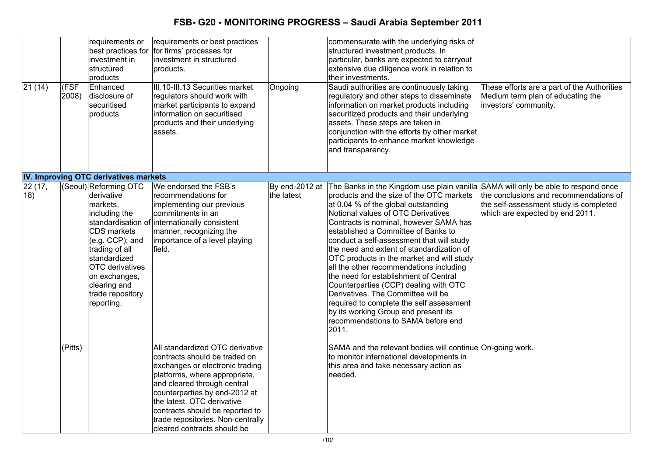| 21(14)        | (FSF<br>2008) | requirements or<br>investment in<br>structured<br>products<br>Enhanced<br>disclosure of<br>securitised<br>products                                                                                                                       | requirements or best practices<br>best practices for for firms' processes for<br>investment in structured<br>products.<br>III.10-III.13 Securities market<br>regulators should work with<br>market participants to expand<br>information on securitised<br>products and their underlying<br>assets.                                       | Ongoing                      | commensurate with the underlying risks of<br>structured investment products. In<br>particular, banks are expected to carryout<br>extensive due diligence work in relation to<br>their investments.<br>Saudi authorities are continuously taking<br>regulatory and other steps to disseminate<br>information on market products including<br>securitized products and their underlying<br>assets. These steps are taken in<br>conjunction with the efforts by other market<br>participants to enhance market knowledge<br>and transparency.                                                                                                                                                                                               | These efforts are a part of the Authorities<br>Medium term plan of educating the<br>investors' community.           |
|---------------|---------------|------------------------------------------------------------------------------------------------------------------------------------------------------------------------------------------------------------------------------------------|-------------------------------------------------------------------------------------------------------------------------------------------------------------------------------------------------------------------------------------------------------------------------------------------------------------------------------------------|------------------------------|------------------------------------------------------------------------------------------------------------------------------------------------------------------------------------------------------------------------------------------------------------------------------------------------------------------------------------------------------------------------------------------------------------------------------------------------------------------------------------------------------------------------------------------------------------------------------------------------------------------------------------------------------------------------------------------------------------------------------------------|---------------------------------------------------------------------------------------------------------------------|
|               |               | IV. Improving OTC derivatives markets                                                                                                                                                                                                    |                                                                                                                                                                                                                                                                                                                                           |                              |                                                                                                                                                                                                                                                                                                                                                                                                                                                                                                                                                                                                                                                                                                                                          |                                                                                                                     |
| 22(17,<br>18) |               | (Seoul) Reforming OTC<br>derivative<br>markets,<br>including the<br><b>CDS</b> markets<br>(e.g. CCP); and<br>trading of all<br>standardized<br><b>OTC</b> derivatives<br>on exchanges,<br>clearing and<br>trade repository<br>reporting. | We endorsed the FSB's<br>recommendations for<br>implementing our previous<br>commitments in an<br>standardisation of internationally consistent<br>manner, recognizing the<br>importance of a level playing<br>field.                                                                                                                     | By end-2012 at<br>the latest | The Banks in the Kingdom use plain vanilla SAMA will only be able to respond once<br>products and the size of the OTC markets<br>at 0.04 % of the global outstanding<br>Notional values of OTC Derivatives<br>Contracts is nominal, however SAMA has<br>established a Committee of Banks to<br>conduct a self-assessment that will study<br>the need and extent of standardization of<br>OTC products in the market and will study<br>all the other recommendations including<br>the need for establishment of Central<br>Counterparties (CCP) dealing with OTC<br>Derivatives. The Committee will be<br>required to complete the self assessment<br>by its working Group and present its<br>recommendations to SAMA before end<br>2011. | the conclusions and recommendations of<br>the self-assessment study is completed<br>which are expected by end 2011. |
|               | (Pitts)       |                                                                                                                                                                                                                                          | All standardized OTC derivative<br>contracts should be traded on<br>exchanges or electronic trading<br>platforms, where appropriate,<br>and cleared through central<br>counterparties by end-2012 at<br>the latest. OTC derivative<br>contracts should be reported to<br>trade repositories. Non-centrally<br>cleared contracts should be |                              | SAMA and the relevant bodies will continue On-going work.<br>to monitor international developments in<br>this area and take necessary action as<br>Ineeded.                                                                                                                                                                                                                                                                                                                                                                                                                                                                                                                                                                              |                                                                                                                     |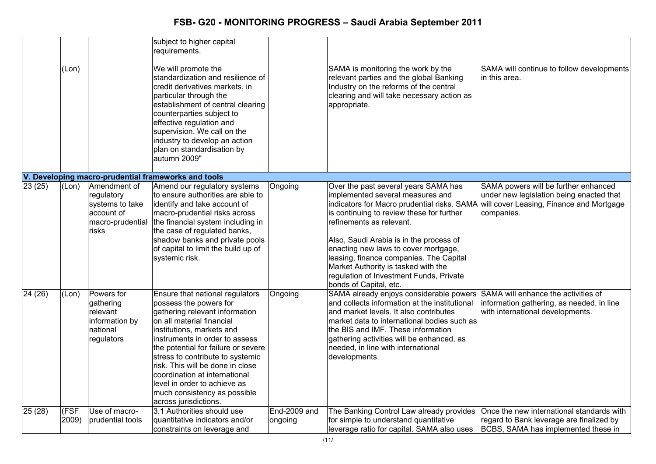|         | (Lon)         |                                                                                          | subject to higher capital<br>requirements.<br>We will promote the<br>standardization and resilience of<br>credit derivatives markets, in<br>particular through the<br>establishment of central clearing<br>counterparties subject to<br>effective regulation and<br>supervision. We call on the<br>industry to develop an action<br>plan on standardisation by<br>autumn 2009"                                                          |                         | SAMA is monitoring the work by the<br>relevant parties and the global Banking<br>Industry on the reforms of the central<br>clearing and will take necessary action as<br>appropriate.                                                                                                                                                                                                                                                      | SAMA will continue to follow developments<br>in this area.                                                                                 |
|---------|---------------|------------------------------------------------------------------------------------------|-----------------------------------------------------------------------------------------------------------------------------------------------------------------------------------------------------------------------------------------------------------------------------------------------------------------------------------------------------------------------------------------------------------------------------------------|-------------------------|--------------------------------------------------------------------------------------------------------------------------------------------------------------------------------------------------------------------------------------------------------------------------------------------------------------------------------------------------------------------------------------------------------------------------------------------|--------------------------------------------------------------------------------------------------------------------------------------------|
|         |               |                                                                                          | V. Developing macro-prudential frameworks and tools                                                                                                                                                                                                                                                                                                                                                                                     |                         |                                                                                                                                                                                                                                                                                                                                                                                                                                            |                                                                                                                                            |
| 23(25)  | (Lon)         | Amendment of<br>regulatory<br>systems to take<br>account of<br>macro-prudential<br>risks | Amend our regulatory systems<br>to ensure authorities are able to<br>identify and take account of<br>macro-prudential risks across<br>the financial system including in<br>the case of regulated banks,<br>shadow banks and private pools<br>of capital to limit the build up of<br>systemic risk.                                                                                                                                      | Ongoing                 | Over the past several years SAMA has<br>implemented several measures and<br>indicators for Macro prudential risks. SAMA<br>is continuing to review these for further<br>refinements as relevant.<br>Also, Saudi Arabia is in the process of<br>enacting new laws to cover mortgage,<br>leasing, finance companies. The Capital<br>Market Authority is tasked with the<br>regulation of Investment Funds, Private<br>bonds of Capital, etc. | SAMA powers will be further enhanced<br>under new legislation being enacted that<br>will cover Leasing, Finance and Mortgage<br>companies. |
| 24 (26) | (Lon)         | Powers for<br>gathering<br>relevant<br>information by<br>national<br>regulators          | <b>Ensure that national regulators</b><br>possess the powers for<br>gathering relevant information<br>on all material financial<br>institutions, markets and<br>instruments in order to assess<br>the potential for failure or severe<br>stress to contribute to systemic<br>risk. This will be done in close<br>coordination at international<br>level in order to achieve as<br>much consistency as possible<br>across jurisdictions. | Ongoing                 | SAMA already enjoys considerable powers<br>and collects information at the institutional<br>and market levels. It also contributes<br>market data to international bodies such as<br>the BIS and IMF. These information<br>gathering activities will be enhanced, as<br>needed, in line with international<br>developments.                                                                                                                | SAMA will enhance the activities of<br>information gathering, as needed, in line<br>with international developments.                       |
| 25(28)  | (FSF<br>2009) | Use of macro-<br>prudential tools                                                        | 3.1 Authorities should use<br>quantitative indicators and/or<br>constraints on leverage and                                                                                                                                                                                                                                                                                                                                             | End-2009 and<br>ongoing | The Banking Control Law already provides<br>for simple to understand quantitative<br>leverage ratio for capital. SAMA also uses                                                                                                                                                                                                                                                                                                            | Once the new international standards with<br>regard to Bank leverage are finalized by<br>BCBS, SAMA has implemented these in               |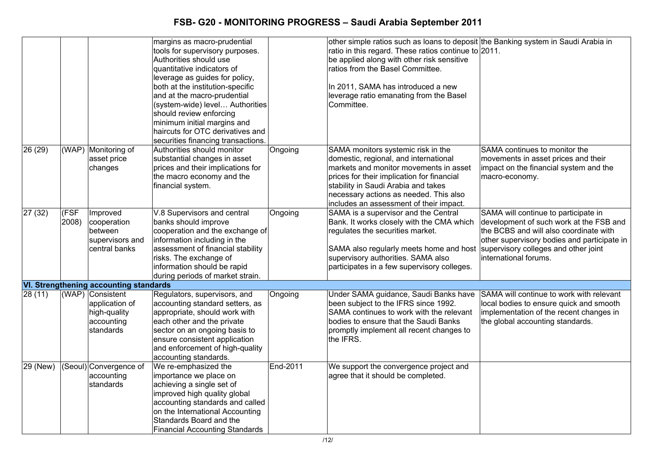|          |               |                                                                               | margins as macro-prudential<br>tools for supervisory purposes.<br>Authorities should use<br>quantitative indicators of<br>leverage as guides for policy,<br>both at the institution-specific<br>and at the macro-prudential<br>(system-wide) level Authorities<br>should review enforcing<br>minimum initial margins and<br>haircuts for OTC derivatives and<br>securities financing transactions. |          | other simple ratios such as loans to deposit the Banking system in Saudi Arabia in<br>ratio in this regard. These ratios continue to 2011.<br>be applied along with other risk sensitive<br>ratios from the Basel Committee.<br>In 2011, SAMA has introduced a new<br>leverage ratio emanating from the Basel<br>Committee. |                                                                                                                                                                                                                                           |
|----------|---------------|-------------------------------------------------------------------------------|----------------------------------------------------------------------------------------------------------------------------------------------------------------------------------------------------------------------------------------------------------------------------------------------------------------------------------------------------------------------------------------------------|----------|-----------------------------------------------------------------------------------------------------------------------------------------------------------------------------------------------------------------------------------------------------------------------------------------------------------------------------|-------------------------------------------------------------------------------------------------------------------------------------------------------------------------------------------------------------------------------------------|
| 26 (29)  | (WAP)         | Monitoring of<br>asset price<br>changes                                       | Authorities should monitor<br>substantial changes in asset<br>prices and their implications for<br>the macro economy and the<br>financial system.                                                                                                                                                                                                                                                  | Ongoing  | SAMA monitors systemic risk in the<br>domestic, regional, and international<br>markets and monitor movements in asset<br>prices for their implication for financial<br>stability in Saudi Arabia and takes<br>necessary actions as needed. This also<br>includes an assessment of their impact.                             | SAMA continues to monitor the<br>movements in asset prices and their<br>impact on the financial system and the<br>macro-economy.                                                                                                          |
| 27 (32)  | (FSF<br>2008) | Improved<br>cooperation<br>between<br>supervisors and<br>central banks        | V.8 Supervisors and central<br>banks should improve<br>cooperation and the exchange of<br>information including in the<br>assessment of financial stability<br>risks. The exchange of<br>information should be rapid<br>during periods of market strain.                                                                                                                                           | Ongoing  | SAMA is a supervisor and the Central<br>Bank. It works closely with the CMA which<br>regulates the securities market.<br>SAMA also regularly meets home and host<br>supervisory authorities. SAMA also<br>participates in a few supervisory colleges.                                                                       | SAMA will continue to participate in<br>development of such work at the FSB and<br>the BCBS and will also coordinate with<br>other supervisory bodies and participate in<br>supervisory colleges and other joint<br>international forums. |
|          |               | <b>VI. Strengthening accounting standards</b>                                 |                                                                                                                                                                                                                                                                                                                                                                                                    |          |                                                                                                                                                                                                                                                                                                                             |                                                                                                                                                                                                                                           |
| 28(11)   |               | (WAP) Consistent<br>application of<br>high-quality<br>accounting<br>standards | Regulators, supervisors, and<br>accounting standard setters, as<br>appropriate, should work with<br>each other and the private<br>sector on an ongoing basis to<br>ensure consistent application<br>and enforcement of high-quality<br>accounting standards.                                                                                                                                       | Ongoing  | Under SAMA guidance, Saudi Banks have<br>been subject to the IFRS since 1992.<br>SAMA continues to work with the relevant<br>bodies to ensure that the Saudi Banks<br>promptly implement all recent changes to<br>the IFRS.                                                                                                 | SAMA will continue to work with relevant<br>local bodies to ensure quick and smooth<br>implementation of the recent changes in<br>the global accounting standards.                                                                        |
| 29 (New) |               | (Seoul) Convergence of<br>accounting<br>standards                             | We re-emphasized the<br>importance we place on<br>achieving a single set of<br>improved high quality global<br>accounting standards and called<br>on the International Accounting<br>Standards Board and the<br><b>Financial Accounting Standards</b>                                                                                                                                              | End-2011 | We support the convergence project and<br>agree that it should be completed.                                                                                                                                                                                                                                                |                                                                                                                                                                                                                                           |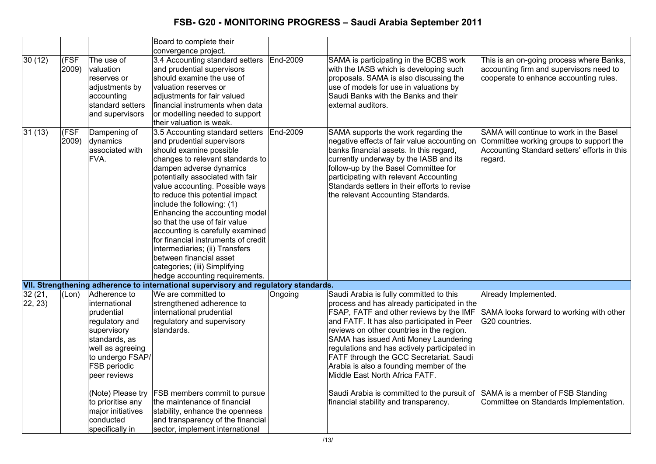|                   |                          |                                                                                                                                                                                                                                                                      | Board to complete their<br>convergence project.                                                                                                                                                                                                                                                                                                                                                                                                                                                                                                                               |          |                                                                                                                                                                                                                                                                                                                                                                                                                                                                                                                                       |                                                                                                                                                                  |
|-------------------|--------------------------|----------------------------------------------------------------------------------------------------------------------------------------------------------------------------------------------------------------------------------------------------------------------|-------------------------------------------------------------------------------------------------------------------------------------------------------------------------------------------------------------------------------------------------------------------------------------------------------------------------------------------------------------------------------------------------------------------------------------------------------------------------------------------------------------------------------------------------------------------------------|----------|---------------------------------------------------------------------------------------------------------------------------------------------------------------------------------------------------------------------------------------------------------------------------------------------------------------------------------------------------------------------------------------------------------------------------------------------------------------------------------------------------------------------------------------|------------------------------------------------------------------------------------------------------------------------------------------------------------------|
| 30(12)            | F <sub>SF</sub><br>2009) | The use of<br>valuation<br>reserves or<br>adjustments by<br>accounting<br>standard setters<br>and supervisors                                                                                                                                                        | 3.4 Accounting standard setters<br>and prudential supervisors<br>should examine the use of<br>valuation reserves or<br>adjustments for fair valued<br>financial instruments when data<br>or modelling needed to support<br>their valuation is weak.                                                                                                                                                                                                                                                                                                                           | End-2009 | SAMA is participating in the BCBS work<br>with the IASB which is developing such<br>proposals. SAMA is also discussing the<br>use of models for use in valuations by<br>Saudi Banks with the Banks and their<br>external auditors.                                                                                                                                                                                                                                                                                                    | This is an on-going process where Banks,<br>accounting firm and supervisors need to<br>cooperate to enhance accounting rules.                                    |
| 31(13)            | (FSF<br>2009)            | Dampening of<br>dynamics<br>associated with<br>FVA.                                                                                                                                                                                                                  | 3.5 Accounting standard setters<br>and prudential supervisors<br>should examine possible<br>changes to relevant standards to<br>dampen adverse dynamics<br>potentially associated with fair<br>value accounting. Possible ways<br>to reduce this potential impact<br>include the following: (1)<br>Enhancing the accounting model<br>so that the use of fair value<br>accounting is carefully examined<br>for financial instruments of credit<br>intermediaries; (ii) Transfers<br>between financial asset<br>categories; (iii) Simplifying<br>hedge accounting requirements. | End-2009 | SAMA supports the work regarding the<br>negative effects of fair value accounting on<br>banks financial assets. In this regard,<br>currently underway by the IASB and its<br>follow-up by the Basel Committee for<br>participating with relevant Accounting<br>Standards setters in their efforts to revise<br>the relevant Accounting Standards.                                                                                                                                                                                     | SAMA will continue to work in the Basel<br>Committee working groups to support the<br>Accounting Standard setters' efforts in this<br>regard.                    |
|                   |                          |                                                                                                                                                                                                                                                                      | VII. Strengthening adherence to international supervisory and regulatory standards.                                                                                                                                                                                                                                                                                                                                                                                                                                                                                           |          |                                                                                                                                                                                                                                                                                                                                                                                                                                                                                                                                       |                                                                                                                                                                  |
| 32(21,<br>22, 23) | (Lon)                    | Adherence to<br>international<br>prudential<br>regulatory and<br>supervisory<br>standards, as<br>well as agreeing<br>to undergo FSAP/<br>FSB periodic<br>peer reviews<br>(Note) Please try<br>to prioritise any<br>major initiatives<br>conducted<br>specifically in | We are committed to<br>strengthened adherence to<br>international prudential<br>regulatory and supervisory<br>standards.<br><b>FSB members commit to pursue</b><br>the maintenance of financial<br>stability, enhance the openness<br>and transparency of the financial<br>sector, implement international                                                                                                                                                                                                                                                                    | Ongoing  | Saudi Arabia is fully committed to this<br>process and has already participated in the<br>FSAP, FATF and other reviews by the IMF<br>and FATF. It has also participated in Peer<br>reviews on other countries in the region.<br>SAMA has issued Anti Money Laundering<br>regulations and has actively participated in<br>FATF through the GCC Secretariat. Saudi<br>Arabia is also a founding member of the<br>Middle East North Africa FATF.<br>Saudi Arabia is committed to the pursuit of<br>financial stability and transparency. | Already Implemented.<br>SAMA looks forward to working with other<br>G20 countries.<br>SAMA is a member of FSB Standing<br>Committee on Standards Implementation. |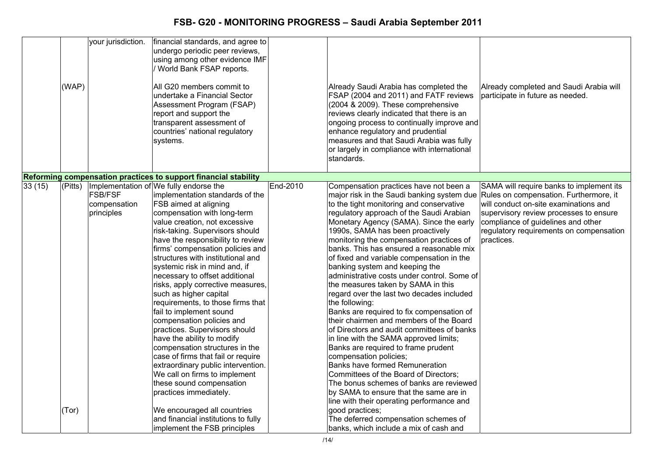|        | (WAP)   | your jurisdiction.                           | financial standards, and agree to<br>undergo periodic peer reviews,<br>using among other evidence IMF<br>World Bank FSAP reports.<br>All G20 members commit to<br>undertake a Financial Sector<br>Assessment Program (FSAP)<br>report and support the<br>transparent assessment of<br>countries' national regulatory<br>systems.                                                                                                                                                                                                                                                                                                                                                                                                                                                                                       |          | Already Saudi Arabia has completed the<br>FSAP (2004 and 2011) and FATF reviews<br>(2004 & 2009). These comprehensive<br>reviews clearly indicated that there is an<br>ongoing process to continually improve and<br>enhance regulatory and prudential<br>measures and that Saudi Arabia was fully<br>or largely in compliance with international<br>standards.                                                                                                                                                                                                                                                                                                                                                                                                                                                                                                                                                                                                                                                                                             | Already completed and Saudi Arabia will<br>participate in future as needed.                                                                                                                                                                                          |
|--------|---------|----------------------------------------------|------------------------------------------------------------------------------------------------------------------------------------------------------------------------------------------------------------------------------------------------------------------------------------------------------------------------------------------------------------------------------------------------------------------------------------------------------------------------------------------------------------------------------------------------------------------------------------------------------------------------------------------------------------------------------------------------------------------------------------------------------------------------------------------------------------------------|----------|-------------------------------------------------------------------------------------------------------------------------------------------------------------------------------------------------------------------------------------------------------------------------------------------------------------------------------------------------------------------------------------------------------------------------------------------------------------------------------------------------------------------------------------------------------------------------------------------------------------------------------------------------------------------------------------------------------------------------------------------------------------------------------------------------------------------------------------------------------------------------------------------------------------------------------------------------------------------------------------------------------------------------------------------------------------|----------------------------------------------------------------------------------------------------------------------------------------------------------------------------------------------------------------------------------------------------------------------|
|        |         |                                              |                                                                                                                                                                                                                                                                                                                                                                                                                                                                                                                                                                                                                                                                                                                                                                                                                        |          |                                                                                                                                                                                                                                                                                                                                                                                                                                                                                                                                                                                                                                                                                                                                                                                                                                                                                                                                                                                                                                                             |                                                                                                                                                                                                                                                                      |
|        |         |                                              | Reforming compensation practices to support financial stability                                                                                                                                                                                                                                                                                                                                                                                                                                                                                                                                                                                                                                                                                                                                                        |          |                                                                                                                                                                                                                                                                                                                                                                                                                                                                                                                                                                                                                                                                                                                                                                                                                                                                                                                                                                                                                                                             |                                                                                                                                                                                                                                                                      |
| 33(15) | (Pitts) | <b>FSB/FSF</b><br>compensation<br>principles | Implementation of We fully endorse the<br>implementation standards of the<br>FSB aimed at aligning<br>compensation with long-term<br>value creation, not excessive<br>risk-taking. Supervisors should<br>have the responsibility to review<br>firms' compensation policies and<br>structures with institutional and<br>systemic risk in mind and, if<br>necessary to offset additional<br>risks, apply corrective measures,<br>such as higher capital<br>requirements, to those firms that<br>fail to implement sound<br>compensation policies and<br>practices. Supervisors should<br>have the ability to modify<br>compensation structures in the<br>case of firms that fail or require<br>extraordinary public intervention.<br>We call on firms to implement<br>these sound compensation<br>practices immediately. | End-2010 | Compensation practices have not been a<br>major risk in the Saudi banking system due<br>to the tight monitoring and conservative<br>regulatory approach of the Saudi Arabian<br>Monetary Agency (SAMA). Since the early<br>1990s, SAMA has been proactively<br>monitoring the compensation practices of<br>banks. This has ensured a reasonable mix<br>of fixed and variable compensation in the<br>banking system and keeping the<br>administrative costs under control. Some of<br>the measures taken by SAMA in this<br>regard over the last two decades included<br>the following:<br>Banks are required to fix compensation of<br>their chairmen and members of the Board<br>of Directors and audit committees of banks<br>in line with the SAMA approved limits;<br>Banks are required to frame prudent<br>compensation policies;<br><b>Banks have formed Remuneration</b><br>Committees of the Board of Directors;<br>The bonus schemes of banks are reviewed<br>by SAMA to ensure that the same are in<br>line with their operating performance and | SAMA will require banks to implement its<br>Rules on compensation. Furthermore, it<br>will conduct on-site examinations and<br>supervisory review processes to ensure<br>compliance of guidelines and other<br>regulatory requirements on compensation<br>practices. |
|        | (Tor)   |                                              | We encouraged all countries<br>and financial institutions to fully<br>implement the FSB principles                                                                                                                                                                                                                                                                                                                                                                                                                                                                                                                                                                                                                                                                                                                     |          | good practices;<br>The deferred compensation schemes of<br>banks, which include a mix of cash and                                                                                                                                                                                                                                                                                                                                                                                                                                                                                                                                                                                                                                                                                                                                                                                                                                                                                                                                                           |                                                                                                                                                                                                                                                                      |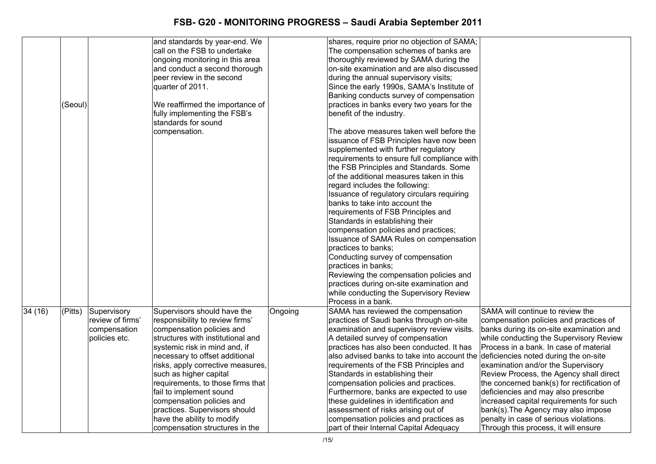|        |         |                  | and standards by year-end. We     |         | shares, require prior no objection of SAMA; |                                            |
|--------|---------|------------------|-----------------------------------|---------|---------------------------------------------|--------------------------------------------|
|        |         |                  | call on the FSB to undertake      |         | The compensation schemes of banks are       |                                            |
|        |         |                  | ongoing monitoring in this area   |         | thoroughly reviewed by SAMA during the      |                                            |
|        |         |                  | and conduct a second thorough     |         | on-site examination and are also discussed  |                                            |
|        |         |                  | peer review in the second         |         | during the annual supervisory visits;       |                                            |
|        |         |                  | quarter of 2011.                  |         | Since the early 1990s, SAMA's Institute of  |                                            |
|        |         |                  |                                   |         | Banking conducts survey of compensation     |                                            |
|        | (Seoul) |                  | We reaffirmed the importance of   |         | practices in banks every two years for the  |                                            |
|        |         |                  | fully implementing the FSB's      |         | benefit of the industry.                    |                                            |
|        |         |                  | standards for sound               |         |                                             |                                            |
|        |         |                  | compensation.                     |         | The above measures taken well before the    |                                            |
|        |         |                  |                                   |         | issuance of FSB Principles have now been    |                                            |
|        |         |                  |                                   |         | supplemented with further regulatory        |                                            |
|        |         |                  |                                   |         | requirements to ensure full compliance with |                                            |
|        |         |                  |                                   |         | the FSB Principles and Standards. Some      |                                            |
|        |         |                  |                                   |         | of the additional measures taken in this    |                                            |
|        |         |                  |                                   |         | regard includes the following:              |                                            |
|        |         |                  |                                   |         | Issuance of regulatory circulars requiring  |                                            |
|        |         |                  |                                   |         | banks to take into account the              |                                            |
|        |         |                  |                                   |         | requirements of FSB Principles and          |                                            |
|        |         |                  |                                   |         | Standards in establishing their             |                                            |
|        |         |                  |                                   |         | compensation policies and practices;        |                                            |
|        |         |                  |                                   |         | Issuance of SAMA Rules on compensation      |                                            |
|        |         |                  |                                   |         | practices to banks;                         |                                            |
|        |         |                  |                                   |         | Conducting survey of compensation           |                                            |
|        |         |                  |                                   |         | practices in banks;                         |                                            |
|        |         |                  |                                   |         | Reviewing the compensation policies and     |                                            |
|        |         |                  |                                   |         | practices during on-site examination and    |                                            |
|        |         |                  |                                   |         | while conducting the Supervisory Review     |                                            |
|        |         |                  |                                   |         | Process in a bank.                          |                                            |
| 34(16) | (Pitts) | Supervisory      | Supervisors should have the       | Ongoing | SAMA has reviewed the compensation          | SAMA will continue to review the           |
|        |         | review of firms' | responsibility to review firms'   |         | practices of Saudi banks through on-site    | compensation policies and practices of     |
|        |         | compensation     | compensation policies and         |         | examination and supervisory review visits.  | banks during its on-site examination and   |
|        |         | policies etc.    | structures with institutional and |         | A detailed survey of compensation           | while conducting the Supervisory Review    |
|        |         |                  | systemic risk in mind and, if     |         | practices has also been conducted. It has   | Process in a bank. In case of material     |
|        |         |                  | necessary to offset additional    |         | also advised banks to take into account the | deficiencies noted during the on-site      |
|        |         |                  | risks, apply corrective measures, |         | requirements of the FSB Principles and      | examination and/or the Supervisory         |
|        |         |                  | such as higher capital            |         | Standards in establishing their             | Review Process, the Agency shall direct    |
|        |         |                  | requirements, to those firms that |         | compensation policies and practices.        | the concerned bank(s) for rectification of |
|        |         |                  | fail to implement sound           |         | Furthermore, banks are expected to use      | deficiencies and may also prescribe        |
|        |         |                  | compensation policies and         |         | these guidelines in identification and      | increased capital requirements for such    |
|        |         |                  | practices. Supervisors should     |         | assessment of risks arising out of          | bank(s). The Agency may also impose        |
|        |         |                  | have the ability to modify        |         | compensation policies and practices as      | penalty in case of serious violations.     |
|        |         |                  | compensation structures in the    |         | part of their Internal Capital Adequacy     | Through this process, it will ensure       |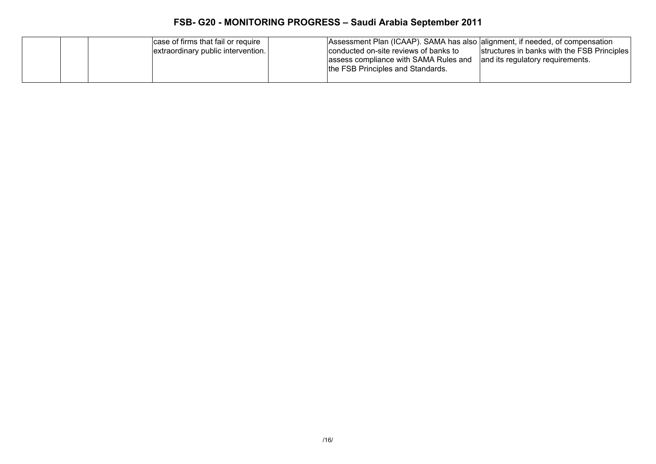| case of firms that fail or require<br>extraordinary public intervention. | Assessment Plan (ICAAP). SAMA has also alignment, if needed, of compensation<br>conducted on-site reviews of banks to<br>structures in banks with the FSB Principles<br>assess compliance with SAMA Rules and<br>and its regulatory requirements.<br>the FSB Principles and Standards. |
|--------------------------------------------------------------------------|----------------------------------------------------------------------------------------------------------------------------------------------------------------------------------------------------------------------------------------------------------------------------------------|
|--------------------------------------------------------------------------|----------------------------------------------------------------------------------------------------------------------------------------------------------------------------------------------------------------------------------------------------------------------------------------|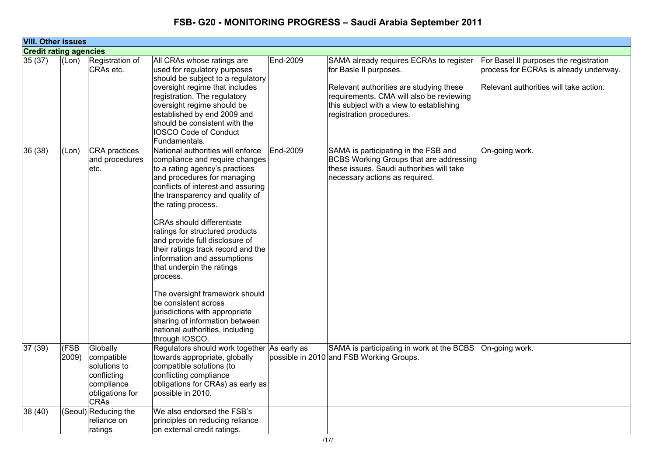| <b>VIII. Other issues</b>     |               |                                                                                                       |                                                                                                                                                                                                                                                                                                                                                                                                                                                                                                                                                                                                                                                |          |                                                                                                                                                                                                                                  |                                                                                                                            |
|-------------------------------|---------------|-------------------------------------------------------------------------------------------------------|------------------------------------------------------------------------------------------------------------------------------------------------------------------------------------------------------------------------------------------------------------------------------------------------------------------------------------------------------------------------------------------------------------------------------------------------------------------------------------------------------------------------------------------------------------------------------------------------------------------------------------------------|----------|----------------------------------------------------------------------------------------------------------------------------------------------------------------------------------------------------------------------------------|----------------------------------------------------------------------------------------------------------------------------|
| <b>Credit rating agencies</b> |               |                                                                                                       |                                                                                                                                                                                                                                                                                                                                                                                                                                                                                                                                                                                                                                                |          |                                                                                                                                                                                                                                  |                                                                                                                            |
| 35(37)                        | (Lon)         | Registration of<br>CRAs etc.                                                                          | All CRAs whose ratings are<br>used for regulatory purposes<br>should be subject to a regulatory<br>oversight regime that includes<br>registration. The regulatory<br>oversight regime should be<br>established by end 2009 and<br>should be consistent with the<br><b>IOSCO Code of Conduct</b><br>Fundamentals.                                                                                                                                                                                                                                                                                                                               | End-2009 | SAMA already requires ECRAs to register<br>for Basle II purposes.<br>Relevant authorities are studying these<br>requirements. CMA will also be reviewing<br>this subject with a view to establishing<br>registration procedures. | For Basel II purposes the registration<br>process for ECRAs is already underway.<br>Relevant authorities will take action. |
| 36(38)                        | (Lon)         | <b>CRA</b> practices<br>and procedures<br>etc.                                                        | National authorities will enforce<br>compliance and require changes<br>to a rating agency's practices<br>and procedures for managing<br>conflicts of interest and assuring<br>the transparency and quality of<br>the rating process.<br><b>CRAs should differentiate</b><br>ratings for structured products<br>and provide full disclosure of<br>their ratings track record and the<br>information and assumptions<br>that underpin the ratings<br>process.<br>The oversight framework should<br>be consistent across<br>jurisdictions with appropriate<br>sharing of information between<br>national authorities, including<br>through IOSCO. | End-2009 | SAMA is participating in the FSB and<br>BCBS Working Groups that are addressing<br>these issues. Saudi authorities will take<br>necessary actions as required.                                                                   | On-going work.                                                                                                             |
| 37(39)                        | (FSB<br>2009) | Globally<br>compatible<br>solutions to<br>conflicting<br>compliance<br>obligations for<br><b>CRAs</b> | Regulators should work together As early as<br>towards appropriate, globally<br>compatible solutions (to<br>conflicting compliance<br>obligations for CRAs) as early as<br>possible in 2010.                                                                                                                                                                                                                                                                                                                                                                                                                                                   |          | SAMA is participating in work at the BCBS   On-going work.<br>possible in 2010 and FSB Working Groups.                                                                                                                           |                                                                                                                            |
| 38 (40)                       |               | (Seoul) Reducing the<br>reliance on<br>ratings                                                        | We also endorsed the FSB's<br>principles on reducing reliance<br>on external credit ratings.                                                                                                                                                                                                                                                                                                                                                                                                                                                                                                                                                   |          |                                                                                                                                                                                                                                  |                                                                                                                            |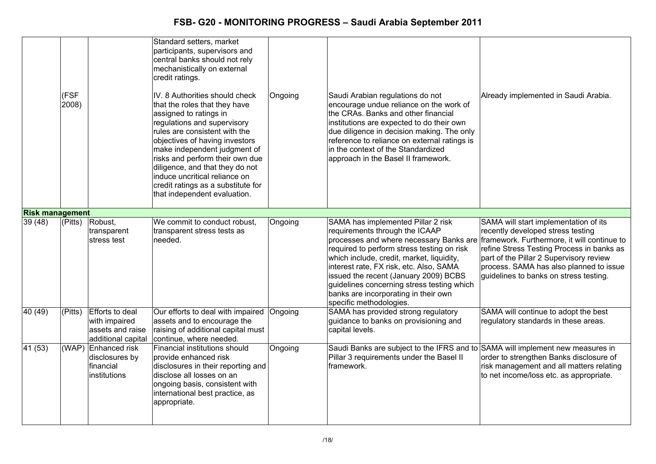|                        | (FSF<br>2008)        |                                                                            | Standard setters, market<br>participants, supervisors and<br>central banks should not rely<br>mechanistically on external<br>credit ratings.<br>IV. 8 Authorities should check<br>that the roles that they have<br>assigned to ratings in<br>regulations and supervisory<br>rules are consistent with the<br>objectives of having investors<br>make independent judgment of<br>risks and perform their own due<br>diligence, and that they do not<br>induce uncritical reliance on<br>credit ratings as a substitute for<br>that independent evaluation. | Ongoing | Saudi Arabian regulations do not<br>encourage undue reliance on the work of<br>the CRAs. Banks and other financial<br>institutions are expected to do their own<br>due diligence in decision making. The only<br>reference to reliance on external ratings is<br>in the context of the Standardized<br>approach in the Basel II framework.                                                                      | Already implemented in Saudi Arabia.                                                                                                                                                                                                                                                                   |
|------------------------|----------------------|----------------------------------------------------------------------------|----------------------------------------------------------------------------------------------------------------------------------------------------------------------------------------------------------------------------------------------------------------------------------------------------------------------------------------------------------------------------------------------------------------------------------------------------------------------------------------------------------------------------------------------------------|---------|-----------------------------------------------------------------------------------------------------------------------------------------------------------------------------------------------------------------------------------------------------------------------------------------------------------------------------------------------------------------------------------------------------------------|--------------------------------------------------------------------------------------------------------------------------------------------------------------------------------------------------------------------------------------------------------------------------------------------------------|
| <b>Risk management</b> |                      |                                                                            |                                                                                                                                                                                                                                                                                                                                                                                                                                                                                                                                                          |         |                                                                                                                                                                                                                                                                                                                                                                                                                 |                                                                                                                                                                                                                                                                                                        |
| 39 (48)                | $\overline{P}$ itts) | Robust,<br>transparent<br>stress test                                      | We commit to conduct robust,<br>transparent stress tests as<br>Ineeded.                                                                                                                                                                                                                                                                                                                                                                                                                                                                                  | Ongoing | SAMA has implemented Pillar 2 risk<br>requirements through the ICAAP<br>processes and where necessary Banks are<br>required to perform stress testing on risk<br>which include, credit, market, liquidity,<br>interest rate, FX risk, etc. Also, SAMA<br>issued the recent (January 2009) BCBS<br>guidelines concerning stress testing which<br>banks are incorporating in their own<br>specific methodologies. | SAMA will start implementation of its<br>recently developed stress testing<br>framework. Furthermore, it will continue to<br>refine Stress Testing Process in banks as<br>part of the Pillar 2 Supervisory review<br>process. SAMA has also planned to issue<br>guidelines to banks on stress testing. |
| 40(49)                 | (Pitts)              | Efforts to deal<br>with impaired<br>assets and raise<br>additional capital | Our efforts to deal with impaired<br>assets and to encourage the<br>raising of additional capital must<br>continue, where needed.                                                                                                                                                                                                                                                                                                                                                                                                                        | Ongoing | SAMA has provided strong regulatory<br>quidance to banks on provisioning and<br>capital levels.                                                                                                                                                                                                                                                                                                                 | SAMA will continue to adopt the best<br>regulatory standards in these areas.                                                                                                                                                                                                                           |
| 41 (53)                |                      | (WAP) Enhanced risk<br>disclosures by<br>financial<br>institutions         | Financial institutions should<br>provide enhanced risk<br>disclosures in their reporting and<br>disclose all losses on an<br>ongoing basis, consistent with<br>international best practice, as<br>appropriate.                                                                                                                                                                                                                                                                                                                                           | Ongoing | Saudi Banks are subject to the IFRS and to SAMA will implement new measures in<br>Pillar 3 requirements under the Basel II<br>framework.                                                                                                                                                                                                                                                                        | order to strengthen Banks disclosure of<br>risk management and all matters relating<br>to net income/loss etc. as appropriate.                                                                                                                                                                         |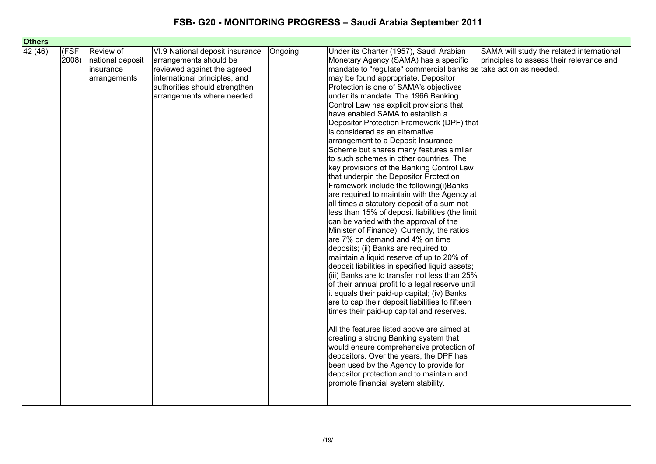| <b>Others</b> |       |                  |                                 |         |                                                                  |                                           |
|---------------|-------|------------------|---------------------------------|---------|------------------------------------------------------------------|-------------------------------------------|
| 42(46)        | (FSF  | Review of        | VI.9 National deposit insurance | Ongoing | Under its Charter (1957), Saudi Arabian                          | SAMA will study the related international |
|               | 2008) | national deposit | arrangements should be          |         | Monetary Agency (SAMA) has a specific                            | principles to assess their relevance and  |
|               |       | insurance        | reviewed against the agreed     |         | mandate to "regulate" commercial banks as take action as needed. |                                           |
|               |       | arrangements     | international principles, and   |         | may be found appropriate. Depositor                              |                                           |
|               |       |                  | authorities should strengthen   |         | Protection is one of SAMA's objectives                           |                                           |
|               |       |                  | arrangements where needed.      |         | under its mandate. The 1966 Banking                              |                                           |
|               |       |                  |                                 |         | Control Law has explicit provisions that                         |                                           |
|               |       |                  |                                 |         | have enabled SAMA to establish a                                 |                                           |
|               |       |                  |                                 |         | Depositor Protection Framework (DPF) that                        |                                           |
|               |       |                  |                                 |         | is considered as an alternative                                  |                                           |
|               |       |                  |                                 |         | arrangement to a Deposit Insurance                               |                                           |
|               |       |                  |                                 |         | Scheme but shares many features similar                          |                                           |
|               |       |                  |                                 |         | to such schemes in other countries. The                          |                                           |
|               |       |                  |                                 |         | key provisions of the Banking Control Law                        |                                           |
|               |       |                  |                                 |         | that underpin the Depositor Protection                           |                                           |
|               |       |                  |                                 |         | Framework include the following(i)Banks                          |                                           |
|               |       |                  |                                 |         | are required to maintain with the Agency at                      |                                           |
|               |       |                  |                                 |         | all times a statutory deposit of a sum not                       |                                           |
|               |       |                  |                                 |         | less than 15% of deposit liabilities (the limit                  |                                           |
|               |       |                  |                                 |         | can be varied with the approval of the                           |                                           |
|               |       |                  |                                 |         | Minister of Finance). Currently, the ratios                      |                                           |
|               |       |                  |                                 |         | are 7% on demand and 4% on time                                  |                                           |
|               |       |                  |                                 |         | deposits; (ii) Banks are required to                             |                                           |
|               |       |                  |                                 |         | maintain a liquid reserve of up to 20% of                        |                                           |
|               |       |                  |                                 |         | deposit liabilities in specified liquid assets;                  |                                           |
|               |       |                  |                                 |         | (iii) Banks are to transfer not less than 25%                    |                                           |
|               |       |                  |                                 |         | of their annual profit to a legal reserve until                  |                                           |
|               |       |                  |                                 |         | it equals their paid-up capital; (iv) Banks                      |                                           |
|               |       |                  |                                 |         | are to cap their deposit liabilities to fifteen                  |                                           |
|               |       |                  |                                 |         | times their paid-up capital and reserves.                        |                                           |
|               |       |                  |                                 |         | All the features listed above are aimed at                       |                                           |
|               |       |                  |                                 |         | creating a strong Banking system that                            |                                           |
|               |       |                  |                                 |         | would ensure comprehensive protection of                         |                                           |
|               |       |                  |                                 |         | depositors. Over the years, the DPF has                          |                                           |
|               |       |                  |                                 |         | been used by the Agency to provide for                           |                                           |
|               |       |                  |                                 |         | depositor protection and to maintain and                         |                                           |
|               |       |                  |                                 |         | promote financial system stability.                              |                                           |
|               |       |                  |                                 |         |                                                                  |                                           |
|               |       |                  |                                 |         |                                                                  |                                           |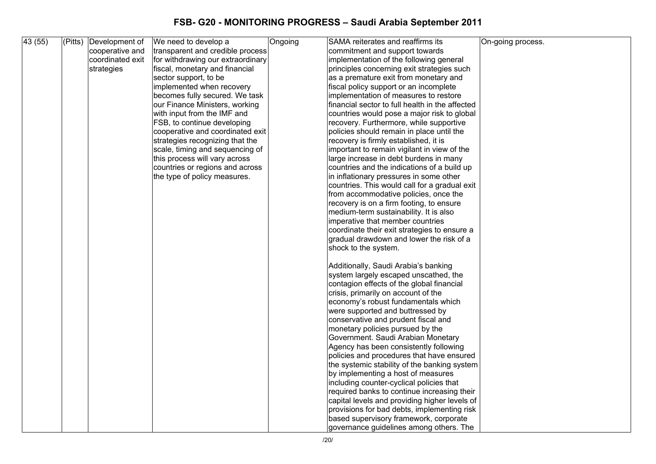| 43(55) | $ $ (Pitts) | Development of   | We need to develop a              | Ongoing | SAMA reiterates and reaffirms its               | On-going process. |
|--------|-------------|------------------|-----------------------------------|---------|-------------------------------------------------|-------------------|
|        |             | cooperative and  | transparent and credible process  |         | commitment and support towards                  |                   |
|        |             | coordinated exit | for withdrawing our extraordinary |         | implementation of the following general         |                   |
|        |             | strategies       | fiscal, monetary and financial    |         | principles concerning exit strategies such      |                   |
|        |             |                  | sector support, to be             |         | as a premature exit from monetary and           |                   |
|        |             |                  | implemented when recovery         |         | fiscal policy support or an incomplete          |                   |
|        |             |                  | becomes fully secured. We task    |         | implementation of measures to restore           |                   |
|        |             |                  | our Finance Ministers, working    |         | financial sector to full health in the affected |                   |
|        |             |                  | with input from the IMF and       |         | countries would pose a major risk to global     |                   |
|        |             |                  | FSB, to continue developing       |         | recovery. Furthermore, while supportive         |                   |
|        |             |                  | cooperative and coordinated exit  |         | policies should remain in place until the       |                   |
|        |             |                  | strategies recognizing that the   |         | recovery is firmly established, it is           |                   |
|        |             |                  | scale, timing and sequencing of   |         | important to remain vigilant in view of the     |                   |
|        |             |                  | this process will vary across     |         | large increase in debt burdens in many          |                   |
|        |             |                  | countries or regions and across   |         | countries and the indications of a build up     |                   |
|        |             |                  | the type of policy measures.      |         | in inflationary pressures in some other         |                   |
|        |             |                  |                                   |         | countries. This would call for a gradual exit   |                   |
|        |             |                  |                                   |         | from accommodative policies, once the           |                   |
|        |             |                  |                                   |         | recovery is on a firm footing, to ensure        |                   |
|        |             |                  |                                   |         | medium-term sustainability. It is also          |                   |
|        |             |                  |                                   |         | imperative that member countries                |                   |
|        |             |                  |                                   |         | coordinate their exit strategies to ensure a    |                   |
|        |             |                  |                                   |         | gradual drawdown and lower the risk of a        |                   |
|        |             |                  |                                   |         | shock to the system.                            |                   |
|        |             |                  |                                   |         | Additionally, Saudi Arabia's banking            |                   |
|        |             |                  |                                   |         | system largely escaped unscathed, the           |                   |
|        |             |                  |                                   |         | contagion effects of the global financial       |                   |
|        |             |                  |                                   |         | crisis, primarily on account of the             |                   |
|        |             |                  |                                   |         | economy's robust fundamentals which             |                   |
|        |             |                  |                                   |         | were supported and buttressed by                |                   |
|        |             |                  |                                   |         | conservative and prudent fiscal and             |                   |
|        |             |                  |                                   |         | monetary policies pursued by the                |                   |
|        |             |                  |                                   |         | Government. Saudi Arabian Monetary              |                   |
|        |             |                  |                                   |         | Agency has been consistently following          |                   |
|        |             |                  |                                   |         | policies and procedures that have ensured       |                   |
|        |             |                  |                                   |         | the systemic stability of the banking system    |                   |
|        |             |                  |                                   |         | by implementing a host of measures              |                   |
|        |             |                  |                                   |         | including counter-cyclical policies that        |                   |
|        |             |                  |                                   |         | required banks to continue increasing their     |                   |
|        |             |                  |                                   |         | capital levels and providing higher levels of   |                   |
|        |             |                  |                                   |         | provisions for bad debts, implementing risk     |                   |
|        |             |                  |                                   |         | based supervisory framework, corporate          |                   |
|        |             |                  |                                   |         | governance guidelines among others. The         |                   |